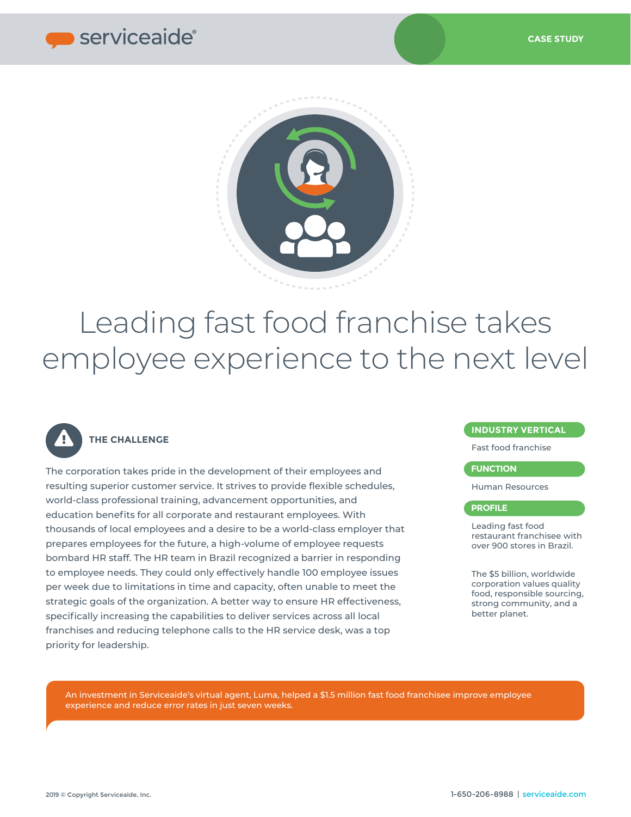



# Leading fast food franchise takes employee experience to the next level



## **THE CHALLENGE**

The corporation takes pride in the development of their employees and resulting superior customer service. It strives to provide flexible schedules, world-class professional training, advancement opportunities, and education benefits for all corporate and restaurant employees. With thousands of local employees and a desire to be a world-class employer that prepares employees for the future, a high-volume of employee requests bombard HR staff. The HR team in Brazil recognized a barrier in responding to employee needs. They could only effectively handle 100 employee issues per week due to limitations in time and capacity, often unable to meet the strategic goals of the organization. A better way to ensure HR effectiveness, specifically increasing the capabilities to deliver services across all local franchises and reducing telephone calls to the HR service desk, was a top priority for leadership.

## **INDUSTRY VERTICAL**

Fast food franchise

## **FUNCTION**

Human Resources

## **PROFILE**

Leading fast food restaurant franchisee with over 900 stores in Brazil.

The \$5 billion, worldwide corporation values quality food, responsible sourcing, strong community, and a better planet.

An investment in Serviceaide's virtual agent, Luma, helped a \$1.5 million fast food franchisee improve employee experience and reduce error rates in just seven weeks.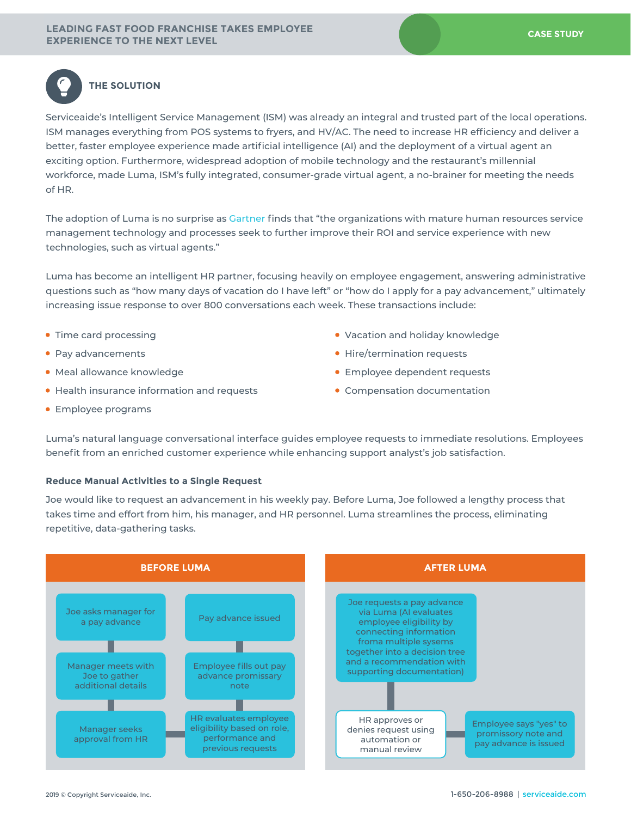

## **THE SOLUTION**

Serviceaide's Intelligent Service Management (ISM) was already an integral and trusted part of the local operations. ISM manages everything from POS systems to fryers, and HV/AC. The need to increase HR efficiency and deliver a better, faster employee experience made artificial intelligence (AI) and the deployment of a virtual agent an exciting option. Furthermore, widespread adoption of mobile technology and the restaurant's millennial workforce, made Luma, ISM's fully integrated, consumer-grade virtual agent, a no-brainer for meeting the needs of HR.

The adoption of Luma is no surprise as [Gartner](https://www.gartner.com/en/documents/3902295/market-guide-for-integrated-hr-service-management-soluti) finds that "the organizations with mature human resources service management technology and processes seek to further improve their ROI and service experience with new technologies, such as virtual agents."

Luma has become an intelligent HR partner, focusing heavily on employee engagement, answering administrative questions such as "how many days of vacation do I have left" or "how do I apply for a pay advancement," ultimately increasing issue response to over 800 conversations each week. These transactions include:

- Time card processing
- Pay advancements
- Meal allowance knowledge
- Health insurance information and requests
- Employee programs
- Vacation and holiday knowledge
- Hire/termination requests
- Employee dependent requests
- Compensation documentation

Luma's natural language conversational interface guides employee requests to immediate resolutions. Employees benefit from an enriched customer experience while enhancing support analyst's job satisfaction.

#### **Reduce Manual Activities to a Single Request**

Joe would like to request an advancement in his weekly pay. Before Luma, Joe followed a lengthy process that takes time and effort from him, his manager, and HR personnel. Luma streamlines the process, eliminating repetitive, data-gathering tasks.